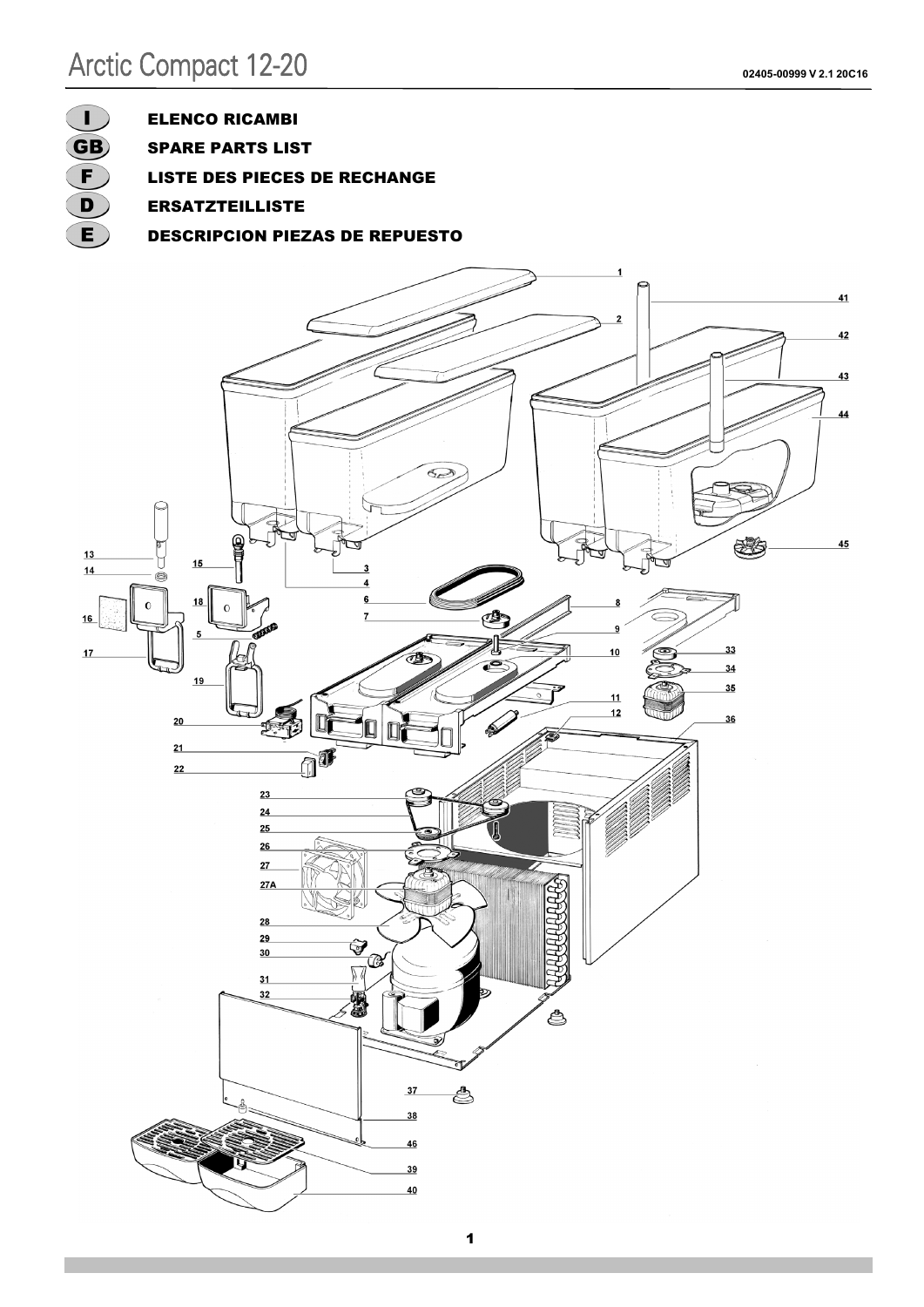

ELENCO RICAMBI

SPARE PARTS LIST

LISTE DES PIECES DE RECHANGE

- ERSATZTEILLISTE
- DESCRIPCION PIEZAS DE REPUESTO

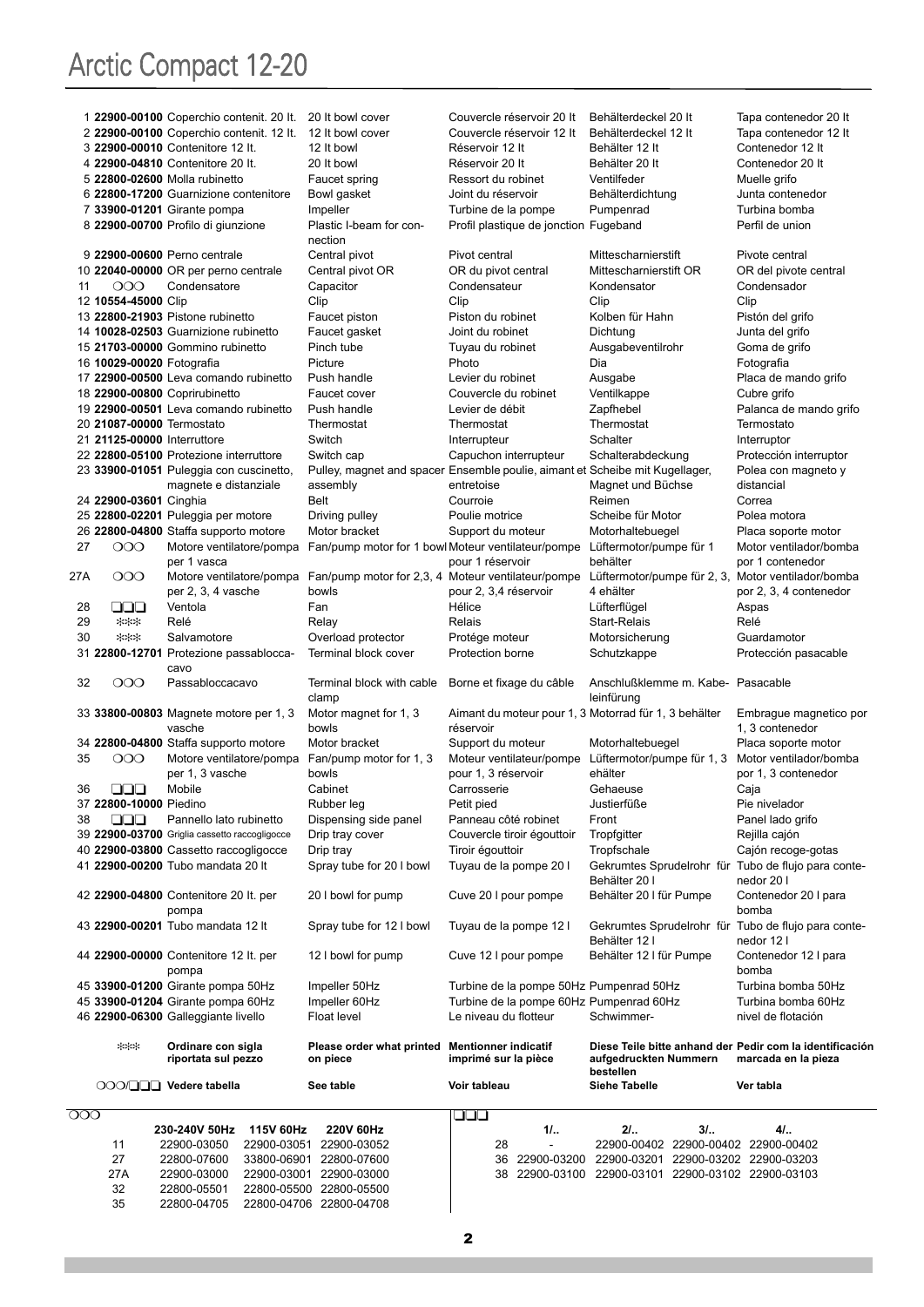|     |                             | 1 22900-00100 Coperchio contenit. 20 It. 20 It bowl cover                   |                                                                                              | Couvercle réservoir 20 It                                                    | Behälterdeckel 20 It                                                                           | Tapa contenedor 20 It                         |
|-----|-----------------------------|-----------------------------------------------------------------------------|----------------------------------------------------------------------------------------------|------------------------------------------------------------------------------|------------------------------------------------------------------------------------------------|-----------------------------------------------|
|     |                             | 2 22900-00100 Coperchio contenit. 12 It. 12 It bowl cover                   |                                                                                              | Couvercle réservoir 12 It                                                    | Behälterdeckel 12 It                                                                           | Tapa contenedor 12 It                         |
|     |                             | 3 22900-00010 Contenitore 12 It.                                            | 12 It bowl                                                                                   | Réservoir 12 It                                                              | Behälter 12 It                                                                                 | Contenedor 12 It                              |
|     |                             | 4 22900-04810 Contenitore 20 It.                                            | 20 It bowl                                                                                   | Réservoir 20 It                                                              | Behälter 20 It                                                                                 | Contenedor 20 It                              |
|     |                             | 5 22800-02600 Molla rubinetto                                               | Faucet spring                                                                                | Ressort du robinet                                                           | Ventilfeder                                                                                    | Muelle grifo                                  |
|     |                             | 6 22800-17200 Guarnizione contenitore                                       | Bowl gasket                                                                                  | Joint du réservoir                                                           | Behälterdichtung                                                                               | Junta contenedor                              |
|     |                             | 7 33900-01201 Girante pompa                                                 | Impeller                                                                                     | Turbine de la pompe                                                          | Pumpenrad                                                                                      | Turbina bomba                                 |
|     |                             | 8 22900-00700 Profilo di giunzione                                          | Plastic I-beam for con-<br>nection                                                           | Profil plastique de jonction Fugeband                                        |                                                                                                | Perfil de union                               |
|     |                             | 9 22900-00600 Perno centrale                                                | Central pivot                                                                                | Pivot central                                                                | Mittescharnierstift                                                                            | Pivote central                                |
|     |                             | 10 22040-00000 OR per perno centrale                                        | Central pivot OR                                                                             | OR du pivot central                                                          | Mittescharnierstift OR                                                                         | OR del pivote central                         |
| 11  | OOO                         | Condensatore                                                                | Capacitor                                                                                    | Condensateur                                                                 | Kondensator                                                                                    | Condensador                                   |
|     | 12 10554-45000 Clip         |                                                                             | Clip                                                                                         | Clip                                                                         | Clip                                                                                           | Clip                                          |
|     |                             | 13 22800-21903 Pistone rubinetto                                            | Faucet piston                                                                                | Piston du robinet                                                            | Kolben für Hahn                                                                                | Pistón del grifo                              |
|     |                             | 14 10028-02503 Guarnizione rubinetto                                        | Faucet gasket                                                                                | Joint du robinet                                                             | Dichtung                                                                                       | Junta del grifo                               |
|     |                             | 15 21703-00000 Gommino rubinetto                                            | Pinch tube                                                                                   | Tuyau du robinet                                                             | Ausgabeventilrohr                                                                              | Goma de grifo                                 |
|     | 16 10029-00020 Fotografia   |                                                                             | Picture                                                                                      | Photo                                                                        | Dia                                                                                            | Fotografia                                    |
|     |                             | 17 22900-00500 Leva comando rubinetto                                       | Push handle                                                                                  | Levier du robinet                                                            | Ausgabe                                                                                        | Placa de mando grifo                          |
|     |                             | 18 22900-00800 Coprirubinetto                                               | Faucet cover                                                                                 | Couvercle du robinet                                                         | Ventilkappe                                                                                    | Cubre grifo                                   |
|     |                             | 19 22900-00501 Leva comando rubinetto                                       | Push handle                                                                                  | Levier de débit                                                              | Zapfhebel                                                                                      | Palanca de mando grifo                        |
|     | 20 21087-00000 Termostato   |                                                                             | Thermostat                                                                                   | Thermostat                                                                   | Thermostat                                                                                     | Termostato                                    |
|     | 21 21125-00000 Interruttore |                                                                             | Switch                                                                                       | Interrupteur                                                                 | Schalter                                                                                       | Interruptor                                   |
|     |                             | 22 22800-05100 Protezione interruttore                                      | Switch cap                                                                                   | Capuchon interrupteur                                                        | Schalterabdeckung                                                                              | Protección interruptor                        |
|     |                             | 23 33900-01051 Puleggia con cuscinetto.                                     |                                                                                              | Pulley, magnet and spacer Ensemble poulie, aimant et Scheibe mit Kugellager, |                                                                                                | Polea con magneto y                           |
|     |                             | magnete e distanziale                                                       | assembly                                                                                     | entretoise                                                                   | Magnet und Büchse                                                                              | distancial                                    |
|     | 24 22900-03601 Cinghia      |                                                                             | Belt                                                                                         | Courroie                                                                     | Reimen                                                                                         | Correa                                        |
|     |                             | 25 22800-02201 Puleggia per motore<br>26 22800-04800 Staffa supporto motore | Driving pulley                                                                               | Poulie motrice<br>Support du moteur                                          | Scheibe für Motor<br>Motorhaltebuegel                                                          | Polea motora                                  |
| 27  | OOO                         |                                                                             | Motor bracket<br>Motore ventilatore/pompa Fan/pump motor for 1 bowl Moteur ventilateur/pompe |                                                                              | Lüftermotor/pumpe für 1                                                                        | Placa soporte motor                           |
|     |                             | per 1 vasca                                                                 |                                                                                              | pour 1 réservoir                                                             | behälter                                                                                       | Motor ventilador/bomba<br>por 1 contenedor    |
| 27A | 000                         | Motore ventilatore/pompa                                                    | Fan/pump motor for 2,3, 4 Moteur ventilateur/pompe                                           |                                                                              | Lüftermotor/pumpe für 2, 3, Motor ventilador/bomba                                             |                                               |
|     |                             | per 2, 3, 4 vasche                                                          | bowls                                                                                        | pour 2, 3,4 réservoir                                                        | 4 ehälter                                                                                      | por 2, 3, 4 contenedor                        |
| 28  | 999                         | Ventola                                                                     | Fan                                                                                          | Hélice                                                                       | Lüfterflügel                                                                                   | Aspas                                         |
| 29  | ***                         | Relé                                                                        | Relay                                                                                        | Relais                                                                       | Start-Relais                                                                                   | Relé                                          |
| 30  | ***                         | Salvamotore                                                                 | Overload protector                                                                           | Protége moteur                                                               | Motorsicherung                                                                                 | Guardamotor                                   |
|     |                             | 31 22800-12701 Protezione passablocca-                                      | Terminal block cover                                                                         | Protection borne                                                             | Schutzkappe                                                                                    | Protección pasacable                          |
| 32  | OOO                         | cavo<br>Passabloccacavo                                                     | Terminal block with cable                                                                    | Borne et fixage du câble                                                     | Anschlußklemme m. Kabe- Pasacable                                                              |                                               |
|     |                             |                                                                             | clamp                                                                                        |                                                                              | leinfürung                                                                                     |                                               |
|     |                             | 33 33800-00803 Magnete motore per 1, 3<br>vasche                            | Motor magnet for 1, 3<br>bowls                                                               | Aimant du moteur pour 1, 3 Motorrad für 1, 3 behälter<br>réservoir           |                                                                                                | Embrague magnetico por<br>1, 3 contenedor     |
|     |                             | 34 22800-04800 Staffa supporto motore                                       | Motor bracket                                                                                | Support du moteur                                                            | Motorhaltebuegel                                                                               | Placa soporte motor                           |
| 35  | OOO                         | Motore ventilatore/pompa Fan/pump motor for 1, 3<br>per 1, 3 vasche         | bowls                                                                                        | Moteur ventilateur/pompe<br>pour 1, 3 réservoir                              | Lüftermotor/pumpe für 1, 3<br>ehälter                                                          | Motor ventilador/bomba<br>por 1, 3 contenedor |
| 36  | 88                          | Mobile                                                                      | Cabinet                                                                                      | Carrosserie                                                                  | Gehaeuse                                                                                       | Caja                                          |
|     | 37 22800-10000 Piedino      |                                                                             | Rubber leg                                                                                   | Petit pied                                                                   | Justierfüße                                                                                    | Pie nivelador                                 |
| 38  | 888                         | Pannello lato rubinetto                                                     | Dispensing side panel                                                                        | Panneau côté robinet                                                         | Front                                                                                          | Panel lado grifo                              |
|     |                             | 39 22900-03700 Griglia cassetto raccogligocce                               | Drip tray cover                                                                              | Couvercle tiroir égouttoir                                                   | Tropfgitter                                                                                    | Rejilla cajón                                 |
|     |                             | 40 22900-03800 Cassetto raccogligocce                                       | Drip tray                                                                                    | Tiroir égouttoir                                                             | Tropfschale                                                                                    | Cajón recoge-gotas                            |
|     |                             | 41 22900-00200 Tubo mandata 20 It                                           | Spray tube for 20 I bowl                                                                     | Tuyau de la pompe 20 l                                                       | Gekrumtes Sprudelrohr für Tubo de flujo para conte-<br>Behälter 20 l                           | nedor 20 l                                    |
|     |                             | 42 22900-04800 Contenitore 20 It. per<br>pompa                              | 20 I bowl for pump                                                                           | Cuve 20 I pour pompe                                                         | Behälter 20 I für Pumpe                                                                        | Contenedor 20 I para<br>bomba                 |
|     |                             | 43 22900-00201 Tubo mandata 12 It                                           | Spray tube for 12 I bowl                                                                     | Tuyau de la pompe 12 l                                                       | Gekrumtes Sprudelrohr für Tubo de flujo para conte-<br>Behälter 12 l                           | nedor 12 l                                    |
|     |                             | 44 22900-00000 Contenitore 12 It. per<br>pompa                              | 12 I bowl for pump                                                                           | Cuve 12 I pour pompe                                                         | Behälter 12 I für Pumpe                                                                        | Contenedor 12 I para<br>bomba                 |
|     |                             | 45 33900-01200 Girante pompa 50Hz                                           | Impeller 50Hz                                                                                | Turbine de la pompe 50Hz Pumpenrad 50Hz                                      |                                                                                                | Turbina bomba 50Hz                            |
|     |                             | 45 33900-01204 Girante pompa 60Hz                                           | Impeller 60Hz                                                                                | Turbine de la pompe 60Hz Pumpenrad 60Hz                                      |                                                                                                | Turbina bomba 60Hz                            |
|     |                             | 46 22900-06300 Galleggiante livello                                         | Float level                                                                                  | Le niveau du flotteur                                                        | Schwimmer-                                                                                     | nivel de flotación                            |
|     | ***                         | Ordinare con sigla<br>riportata sul pezzo                                   | Please order what printed Mentionner indicatif<br>on piece                                   | imprimé sur la pièce                                                         | Diese Teile bitte anhand der Pedir com la identificación<br>aufgedruckten Nummern<br>bestellen | marcada en la pieza                           |
|     |                             | OOO/QQQ Vedere tabella                                                      | See table                                                                                    | Voir tableau                                                                 | <b>Siehe Tabelle</b>                                                                           | Ver tabla                                     |
|     |                             |                                                                             |                                                                                              |                                                                              |                                                                                                |                                               |
| ပပပ |                             |                                                                             |                                                                                              | لبالي                                                                        |                                                                                                |                                               |
|     |                             |                                                                             |                                                                                              |                                                                              |                                                                                                |                                               |
|     | 11                          | 230-240V 50Hz<br>115V 60Hz<br>22900-03050<br>22900-03051                    | 220V 60Hz<br>22900-03052                                                                     | 11.<br>28                                                                    | 21.<br>31.<br>22900-00402 22900-00402 22900-00402                                              | 41                                            |

| 11  | 22900-03050 |                         | 22900-03051 22900-03052 |
|-----|-------------|-------------------------|-------------------------|
| 27  | 22800-07600 |                         | 33800-06901 22800-07600 |
| 27A | 22900-03000 |                         | 22900-03001 22900-03000 |
| 32  | 22800-05501 | 22800-05500 22800-05500 |                         |
| 35  | 22800-04705 | 22800-04706 22800-04708 |                         |

| 36 22900-03200 22900-03201 22900-03202 22900-03203 |  |  |
|----------------------------------------------------|--|--|
| 38 22900-03100 22900-03101 22900-03102 22900-03103 |  |  |
|                                                    |  |  |
|                                                    |  |  |
|                                                    |  |  |